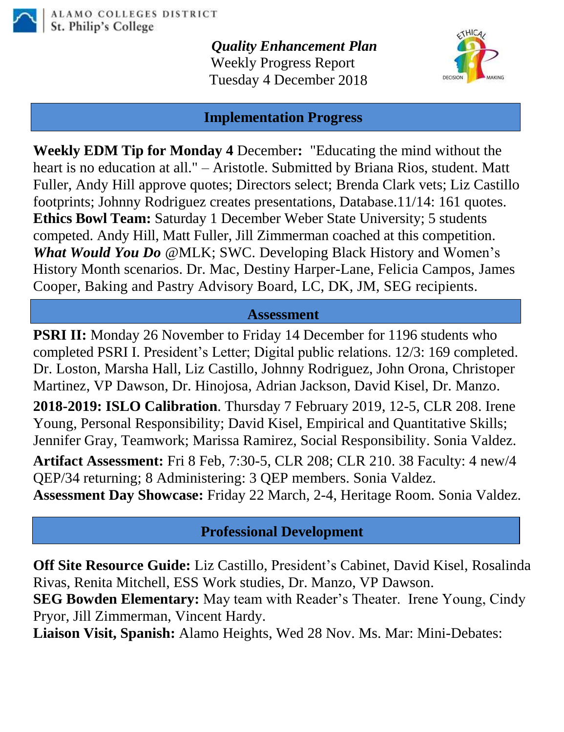

*Quality Enhancement Plan* Weekly Progress Report Tuesday 4 December 2018



### **Implementation Progress**

**Weekly EDM Tip for Monday 4** December**:** "Educating the mind without the heart is no education at all." – Aristotle. Submitted by Briana Rios, student. Matt Fuller, Andy Hill approve quotes; Directors select; Brenda Clark vets; Liz Castillo footprints; Johnny Rodriguez creates presentations, Database.11/14: 161 quotes. **Ethics Bowl Team:** Saturday 1 December Weber State University; 5 students competed. Andy Hill, Matt Fuller, Jill Zimmerman coached at this competition. *What Would You Do* @MLK; SWC. Developing Black History and Women's History Month scenarios. Dr. Mac, Destiny Harper-Lane, Felicia Campos, James Cooper, Baking and Pastry Advisory Board, LC, DK, JM, SEG recipients.

### **Assessment**

**PSRI II:** Monday 26 November to Friday 14 December for 1196 students who completed PSRI I. President's Letter; Digital public relations. 12/3: 169 completed. Dr. Loston, Marsha Hall, Liz Castillo, Johnny Rodriguez, John Orona, Christoper Martinez, VP Dawson, Dr. Hinojosa, Adrian Jackson, David Kisel, Dr. Manzo.

**2018-2019: ISLO Calibration**. Thursday 7 February 2019, 12-5, CLR 208. Irene Young, Personal Responsibility; David Kisel, Empirical and Quantitative Skills; Jennifer Gray, Teamwork; Marissa Ramirez, Social Responsibility. Sonia Valdez.

**Artifact Assessment:** Fri 8 Feb, 7:30-5, CLR 208; CLR 210. 38 Faculty: 4 new/4 QEP/34 returning; 8 Administering: 3 QEP members. Sonia Valdez. **Assessment Day Showcase:** Friday 22 March, 2-4, Heritage Room. Sonia Valdez.

## **Professional Development**

**Off Site Resource Guide:** Liz Castillo, President's Cabinet, David Kisel, Rosalinda Rivas, Renita Mitchell, ESS Work studies, Dr. Manzo, VP Dawson.

**SEG Bowden Elementary:** May team with Reader's Theater. Irene Young, Cindy Pryor, Jill Zimmerman, Vincent Hardy.

**Liaison Visit, Spanish:** Alamo Heights, Wed 28 Nov. Ms. Mar: Mini-Debates: